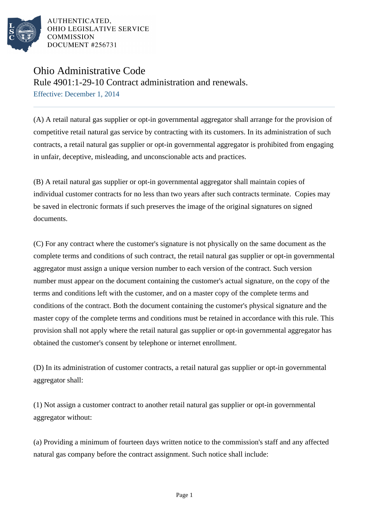

## Ohio Administrative Code

Rule 4901:1-29-10 Contract administration and renewals. Effective: December 1, 2014

(A) A retail natural gas supplier or opt-in governmental aggregator shall arrange for the provision of competitive retail natural gas service by contracting with its customers. In its administration of such contracts, a retail natural gas supplier or opt-in governmental aggregator is prohibited from engaging in unfair, deceptive, misleading, and unconscionable acts and practices.

(B) A retail natural gas supplier or opt-in governmental aggregator shall maintain copies of individual customer contracts for no less than two years after such contracts terminate. Copies may be saved in electronic formats if such preserves the image of the original signatures on signed documents.

(C) For any contract where the customer's signature is not physically on the same document as the complete terms and conditions of such contract, the retail natural gas supplier or opt-in governmental aggregator must assign a unique version number to each version of the contract. Such version number must appear on the document containing the customer's actual signature, on the copy of the terms and conditions left with the customer, and on a master copy of the complete terms and conditions of the contract. Both the document containing the customer's physical signature and the master copy of the complete terms and conditions must be retained in accordance with this rule. This provision shall not apply where the retail natural gas supplier or opt-in governmental aggregator has obtained the customer's consent by telephone or internet enrollment.

(D) In its administration of customer contracts, a retail natural gas supplier or opt-in governmental aggregator shall:

(1) Not assign a customer contract to another retail natural gas supplier or opt-in governmental aggregator without:

(a) Providing a minimum of fourteen days written notice to the commission's staff and any affected natural gas company before the contract assignment. Such notice shall include: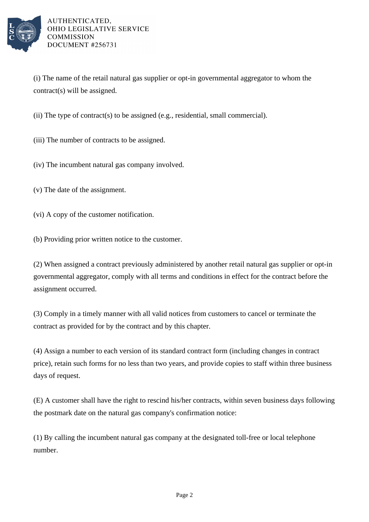

(i) The name of the retail natural gas supplier or opt-in governmental aggregator to whom the contract(s) will be assigned.

(ii) The type of contract(s) to be assigned (e.g., residential, small commercial).

(iii) The number of contracts to be assigned.

(iv) The incumbent natural gas company involved.

(v) The date of the assignment.

(vi) A copy of the customer notification.

(b) Providing prior written notice to the customer.

(2) When assigned a contract previously administered by another retail natural gas supplier or opt-in governmental aggregator, comply with all terms and conditions in effect for the contract before the assignment occurred.

(3) Comply in a timely manner with all valid notices from customers to cancel or terminate the contract as provided for by the contract and by this chapter.

(4) Assign a number to each version of its standard contract form (including changes in contract price), retain such forms for no less than two years, and provide copies to staff within three business days of request.

(E) A customer shall have the right to rescind his/her contracts, within seven business days following the postmark date on the natural gas company's confirmation notice:

(1) By calling the incumbent natural gas company at the designated toll-free or local telephone number.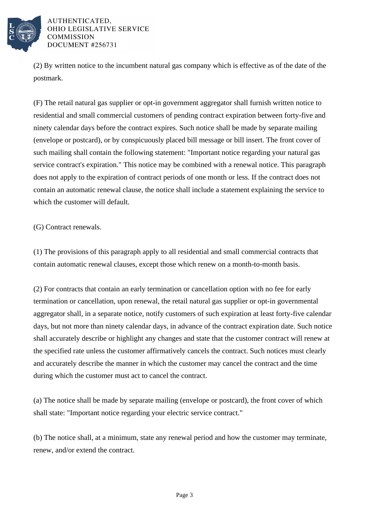

(2) By written notice to the incumbent natural gas company which is effective as of the date of the postmark.

(F) The retail natural gas supplier or opt-in government aggregator shall furnish written notice to residential and small commercial customers of pending contract expiration between forty-five and ninety calendar days before the contract expires. Such notice shall be made by separate mailing (envelope or postcard), or by conspicuously placed bill message or bill insert. The front cover of such mailing shall contain the following statement: "Important notice regarding your natural gas service contract's expiration." This notice may be combined with a renewal notice. This paragraph does not apply to the expiration of contract periods of one month or less. If the contract does not contain an automatic renewal clause, the notice shall include a statement explaining the service to which the customer will default.

(G) Contract renewals.

(1) The provisions of this paragraph apply to all residential and small commercial contracts that contain automatic renewal clauses, except those which renew on a month-to-month basis.

(2) For contracts that contain an early termination or cancellation option with no fee for early termination or cancellation, upon renewal, the retail natural gas supplier or opt-in governmental aggregator shall, in a separate notice, notify customers of such expiration at least forty-five calendar days, but not more than ninety calendar days, in advance of the contract expiration date. Such notice shall accurately describe or highlight any changes and state that the customer contract will renew at the specified rate unless the customer affirmatively cancels the contract. Such notices must clearly and accurately describe the manner in which the customer may cancel the contract and the time during which the customer must act to cancel the contract.

(a) The notice shall be made by separate mailing (envelope or postcard), the front cover of which shall state: "Important notice regarding your electric service contract."

(b) The notice shall, at a minimum, state any renewal period and how the customer may terminate, renew, and/or extend the contract.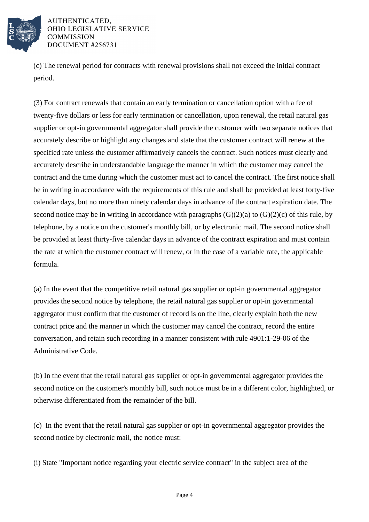

(c) The renewal period for contracts with renewal provisions shall not exceed the initial contract period.

(3) For contract renewals that contain an early termination or cancellation option with a fee of twenty-five dollars or less for early termination or cancellation, upon renewal, the retail natural gas supplier or opt-in governmental aggregator shall provide the customer with two separate notices that accurately describe or highlight any changes and state that the customer contract will renew at the specified rate unless the customer affirmatively cancels the contract. Such notices must clearly and accurately describe in understandable language the manner in which the customer may cancel the contract and the time during which the customer must act to cancel the contract. The first notice shall be in writing in accordance with the requirements of this rule and shall be provided at least forty-five calendar days, but no more than ninety calendar days in advance of the contract expiration date. The second notice may be in writing in accordance with paragraphs  $(G)(2)(a)$  to  $(G)(2)(c)$  of this rule, by telephone, by a notice on the customer's monthly bill, or by electronic mail. The second notice shall be provided at least thirty-five calendar days in advance of the contract expiration and must contain the rate at which the customer contract will renew, or in the case of a variable rate, the applicable formula.

(a) In the event that the competitive retail natural gas supplier or opt-in governmental aggregator provides the second notice by telephone, the retail natural gas supplier or opt-in governmental aggregator must confirm that the customer of record is on the line, clearly explain both the new contract price and the manner in which the customer may cancel the contract, record the entire conversation, and retain such recording in a manner consistent with rule 4901:1-29-06 of the Administrative Code.

(b) In the event that the retail natural gas supplier or opt-in governmental aggregator provides the second notice on the customer's monthly bill, such notice must be in a different color, highlighted, or otherwise differentiated from the remainder of the bill.

(c) In the event that the retail natural gas supplier or opt-in governmental aggregator provides the second notice by electronic mail, the notice must:

(i) State "Important notice regarding your electric service contract" in the subject area of the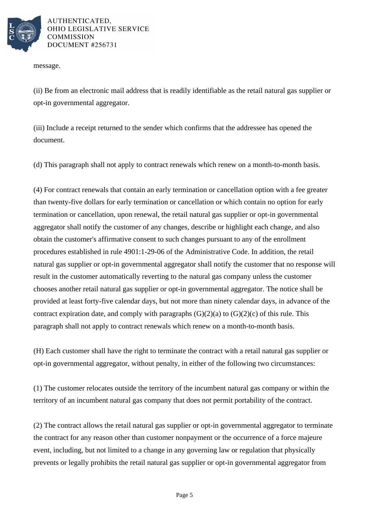

message.

(ii) Be from an electronic mail address that is readily identifiable as the retail natural gas supplier or opt-in governmental aggregator.

(iii) Include a receipt returned to the sender which confirms that the addressee has opened the document.

(d) This paragraph shall not apply to contract renewals which renew on a month-to-month basis.

(4) For contract renewals that contain an early termination or cancellation option with a fee greater than twenty-five dollars for early termination or cancellation or which contain no option for early termination or cancellation, upon renewal, the retail natural gas supplier or opt-in governmental aggregator shall notify the customer of any changes, describe or highlight each change, and also obtain the customer's affirmative consent to such changes pursuant to any of the enrollment procedures established in rule 4901:1-29-06 of the Administrative Code. In addition, the retail natural gas supplier or opt-in governmental aggregator shall notify the customer that no response will result in the customer automatically reverting to the natural gas company unless the customer chooses another retail natural gas supplier or opt-in governmental aggregator. The notice shall be provided at least forty-five calendar days, but not more than ninety calendar days, in advance of the contract expiration date, and comply with paragraphs  $(G)(2)(a)$  to  $(G)(2)(c)$  of this rule. This paragraph shall not apply to contract renewals which renew on a month-to-month basis.

(H) Each customer shall have the right to terminate the contract with a retail natural gas supplier or opt-in governmental aggregator, without penalty, in either of the following two circumstances:

(1) The customer relocates outside the territory of the incumbent natural gas company or within the territory of an incumbent natural gas company that does not permit portability of the contract.

(2) The contract allows the retail natural gas supplier or opt-in governmental aggregator to terminate the contract for any reason other than customer nonpayment or the occurrence of a force majeure event, including, but not limited to a change in any governing law or regulation that physically prevents or legally prohibits the retail natural gas supplier or opt-in governmental aggregator from